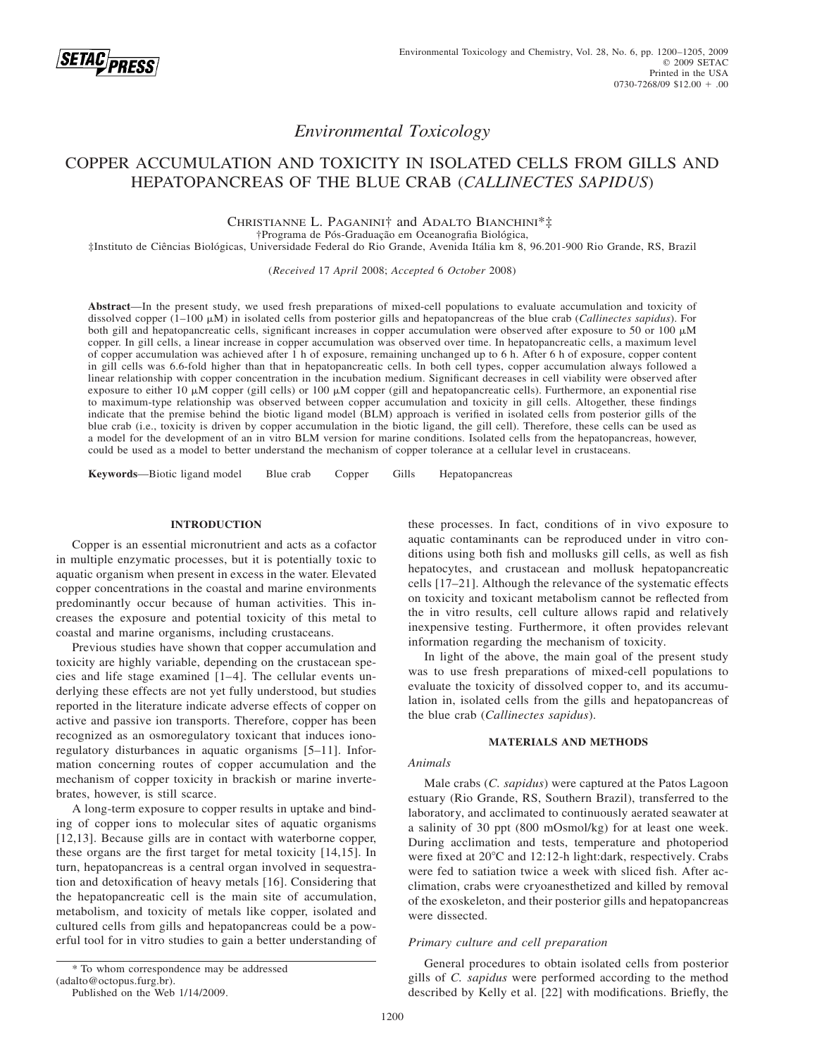

# *Environmental Toxicology*

# COPPER ACCUMULATION AND TOXICITY IN ISOLATED CELLS FROM GILLS AND HEPATOPANCREAS OF THE BLUE CRAB (*CALLINECTES SAPIDUS*)

CHRISTIANNE L. PAGANINI† and ADALTO BIANCHINI\*‡ †Programa de Pós-Graduação em Oceanografia Biológica,

‡Instituto de Cieˆncias Biolo´gicas, Universidade Federal do Rio Grande, Avenida Ita´lia km 8, 96.201-900 Rio Grande, RS, Brazil

(*Received* 17 *April* 2008; *Accepted* 6 *October* 2008)

**Abstract**—In the present study, we used fresh preparations of mixed-cell populations to evaluate accumulation and toxicity of dissolved copper (1–100 M) in isolated cells from posterior gills and hepatopancreas of the blue crab (*Callinectes sapidus*). For both gill and hepatopancreatic cells, significant increases in copper accumulation were observed after exposure to 50 or 100  $\mu$ M copper. In gill cells, a linear increase in copper accumulation was observed over time. In hepatopancreatic cells, a maximum level of copper accumulation was achieved after 1 h of exposure, remaining unchanged up to 6 h. After 6 h of exposure, copper content in gill cells was 6.6-fold higher than that in hepatopancreatic cells. In both cell types, copper accumulation always followed a linear relationship with copper concentration in the incubation medium. Significant decreases in cell viability were observed after exposure to either 10  $\mu$ M copper (gill cells) or 100  $\mu$ M copper (gill and hepatopancreatic cells). Furthermore, an exponential rise to maximum-type relationship was observed between copper accumulation and toxicity in gill cells. Altogether, these findings indicate that the premise behind the biotic ligand model (BLM) approach is verified in isolated cells from posterior gills of the blue crab (i.e., toxicity is driven by copper accumulation in the biotic ligand, the gill cell). Therefore, these cells can be used as a model for the development of an in vitro BLM version for marine conditions. Isolated cells from the hepatopancreas, however, could be used as a model to better understand the mechanism of copper tolerance at a cellular level in crustaceans.

**Keywords**—Biotic ligand model Blue crab Copper Gills Hepatopancreas

# **INTRODUCTION**

Copper is an essential micronutrient and acts as a cofactor in multiple enzymatic processes, but it is potentially toxic to aquatic organism when present in excess in the water. Elevated copper concentrations in the coastal and marine environments predominantly occur because of human activities. This increases the exposure and potential toxicity of this metal to coastal and marine organisms, including crustaceans.

Previous studies have shown that copper accumulation and toxicity are highly variable, depending on the crustacean species and life stage examined [1–4]. The cellular events underlying these effects are not yet fully understood, but studies reported in the literature indicate adverse effects of copper on active and passive ion transports. Therefore, copper has been recognized as an osmoregulatory toxicant that induces ionoregulatory disturbances in aquatic organisms [5–11]. Information concerning routes of copper accumulation and the mechanism of copper toxicity in brackish or marine invertebrates, however, is still scarce.

A long-term exposure to copper results in uptake and binding of copper ions to molecular sites of aquatic organisms [12,13]. Because gills are in contact with waterborne copper, these organs are the first target for metal toxicity [14,15]. In turn, hepatopancreas is a central organ involved in sequestration and detoxification of heavy metals [16]. Considering that the hepatopancreatic cell is the main site of accumulation, metabolism, and toxicity of metals like copper, isolated and cultured cells from gills and hepatopancreas could be a powerful tool for in vitro studies to gain a better understanding of these processes. In fact, conditions of in vivo exposure to aquatic contaminants can be reproduced under in vitro conditions using both fish and mollusks gill cells, as well as fish hepatocytes, and crustacean and mollusk hepatopancreatic cells [17–21]. Although the relevance of the systematic effects on toxicity and toxicant metabolism cannot be reflected from the in vitro results, cell culture allows rapid and relatively inexpensive testing. Furthermore, it often provides relevant information regarding the mechanism of toxicity.

In light of the above, the main goal of the present study was to use fresh preparations of mixed-cell populations to evaluate the toxicity of dissolved copper to, and its accumulation in, isolated cells from the gills and hepatopancreas of the blue crab (*Callinectes sapidus*).

#### **MATERIALS AND METHODS**

## *Animals*

Male crabs (*C. sapidus*) were captured at the Patos Lagoon estuary (Rio Grande, RS, Southern Brazil), transferred to the laboratory, and acclimated to continuously aerated seawater at a salinity of 30 ppt (800 mOsmol/kg) for at least one week. During acclimation and tests, temperature and photoperiod were fixed at 20°C and 12:12-h light:dark, respectively. Crabs were fed to satiation twice a week with sliced fish. After acclimation, crabs were cryoanesthetized and killed by removal of the exoskeleton, and their posterior gills and hepatopancreas were dissected.

## *Primary culture and cell preparation*

General procedures to obtain isolated cells from posterior gills of *C. sapidus* were performed according to the method described by Kelly et al. [22] with modifications. Briefly, the

<sup>\*</sup> To whom correspondence may be addressed

<sup>(</sup>adalto@octopus.furg.br).

Published on the Web 1/14/2009.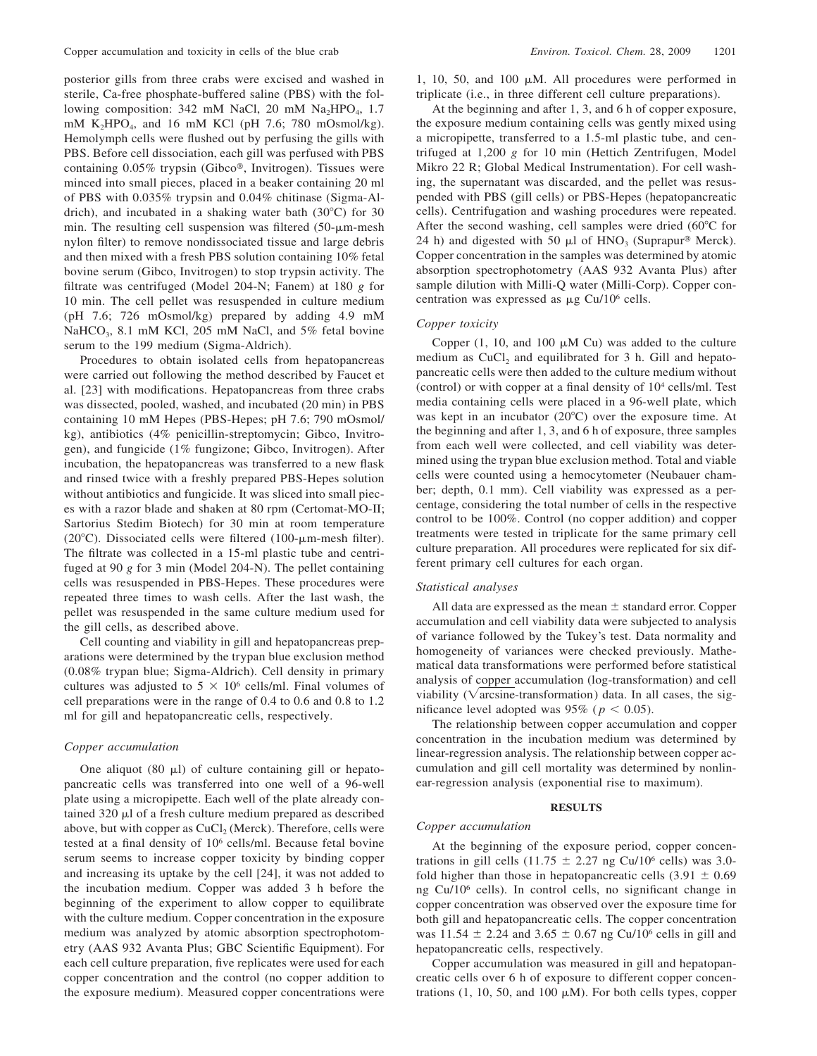posterior gills from three crabs were excised and washed in sterile, Ca-free phosphate-buffered saline (PBS) with the following composition:  $342 \text{ mM NaCl}$ ,  $20 \text{ mM Na}$ ,  $1.7 \text{ A}$ mM K<sub>2</sub>HPO<sub>4</sub>, and 16 mM KCl (pH 7.6; 780 mOsmol/kg). Hemolymph cells were flushed out by perfusing the gills with PBS. Before cell dissociation, each gill was perfused with PBS containing 0.05% trypsin (Gibco®, Invitrogen). Tissues were minced into small pieces, placed in a beaker containing 20 ml of PBS with 0.035% trypsin and 0.04% chitinase (Sigma-Aldrich), and incubated in a shaking water bath  $(30^{\circ}C)$  for 30 min. The resulting cell suspension was filtered  $(50-\mu m$ -mesh nylon filter) to remove nondissociated tissue and large debris and then mixed with a fresh PBS solution containing 10% fetal bovine serum (Gibco, Invitrogen) to stop trypsin activity. The filtrate was centrifuged (Model 204-N; Fanem) at 180 *g* for 10 min. The cell pellet was resuspended in culture medium (pH 7.6; 726 mOsmol/kg) prepared by adding 4.9 mM NaHCO<sub>3</sub>, 8.1 mM KCl, 205 mM NaCl, and 5% fetal bovine serum to the 199 medium (Sigma-Aldrich).

Procedures to obtain isolated cells from hepatopancreas were carried out following the method described by Faucet et al. [23] with modifications. Hepatopancreas from three crabs was dissected, pooled, washed, and incubated (20 min) in PBS containing 10 mM Hepes (PBS-Hepes; pH 7.6; 790 mOsmol/ kg), antibiotics (4% penicillin-streptomycin; Gibco, Invitrogen), and fungicide (1% fungizone; Gibco, Invitrogen). After incubation, the hepatopancreas was transferred to a new flask and rinsed twice with a freshly prepared PBS-Hepes solution without antibiotics and fungicide. It was sliced into small pieces with a razor blade and shaken at 80 rpm (Certomat-MO-II; Sartorius Stedim Biotech) for 30 min at room temperature (20 $^{\circ}$ C). Dissociated cells were filtered (100- $\mu$ m-mesh filter). The filtrate was collected in a 15-ml plastic tube and centrifuged at 90 *g* for 3 min (Model 204-N). The pellet containing cells was resuspended in PBS-Hepes. These procedures were repeated three times to wash cells. After the last wash, the pellet was resuspended in the same culture medium used for the gill cells, as described above.

Cell counting and viability in gill and hepatopancreas preparations were determined by the trypan blue exclusion method (0.08% trypan blue; Sigma-Aldrich). Cell density in primary cultures was adjusted to  $5 \times 10^6$  cells/ml. Final volumes of cell preparations were in the range of 0.4 to 0.6 and 0.8 to 1.2 ml for gill and hepatopancreatic cells, respectively.

## *Copper accumulation*

One aliquot  $(80 \mu l)$  of culture containing gill or hepatopancreatic cells was transferred into one well of a 96-well plate using a micropipette. Each well of the plate already contained  $320 \mu l$  of a fresh culture medium prepared as described above, but with copper as  $CuCl<sub>2</sub>$  (Merck). Therefore, cells were tested at a final density of 106 cells/ml. Because fetal bovine serum seems to increase copper toxicity by binding copper and increasing its uptake by the cell [24], it was not added to the incubation medium. Copper was added 3 h before the beginning of the experiment to allow copper to equilibrate with the culture medium. Copper concentration in the exposure medium was analyzed by atomic absorption spectrophotometry (AAS 932 Avanta Plus; GBC Scientific Equipment). For each cell culture preparation, five replicates were used for each copper concentration and the control (no copper addition to the exposure medium). Measured copper concentrations were

1, 10, 50, and 100  $\mu$ M. All procedures were performed in triplicate (i.e., in three different cell culture preparations).

At the beginning and after 1, 3, and 6 h of copper exposure, the exposure medium containing cells was gently mixed using a micropipette, transferred to a 1.5-ml plastic tube, and centrifuged at 1,200 *g* for 10 min (Hettich Zentrifugen, Model Mikro 22 R; Global Medical Instrumentation). For cell washing, the supernatant was discarded, and the pellet was resuspended with PBS (gill cells) or PBS-Hepes (hepatopancreatic cells). Centrifugation and washing procedures were repeated. After the second washing, cell samples were dried  $(60^{\circ}$ C for 24 h) and digested with 50  $\mu$ l of HNO<sub>3</sub> (Suprapur<sup>®</sup> Merck). Copper concentration in the samples was determined by atomic absorption spectrophotometry (AAS 932 Avanta Plus) after sample dilution with Milli-Q water (Milli-Corp). Copper concentration was expressed as  $\mu$ g Cu/10<sup>6</sup> cells.

# *Copper toxicity*

Copper (1, 10, and 100  $\mu$ M Cu) was added to the culture medium as  $CuCl<sub>2</sub>$  and equilibrated for 3 h. Gill and hepatopancreatic cells were then added to the culture medium without (control) or with copper at a final density of 104 cells/ml. Test media containing cells were placed in a 96-well plate, which was kept in an incubator (20°C) over the exposure time. At the beginning and after 1, 3, and 6 h of exposure, three samples from each well were collected, and cell viability was determined using the trypan blue exclusion method. Total and viable cells were counted using a hemocytometer (Neubauer chamber; depth, 0.1 mm). Cell viability was expressed as a percentage, considering the total number of cells in the respective control to be 100%. Control (no copper addition) and copper treatments were tested in triplicate for the same primary cell culture preparation. All procedures were replicated for six different primary cell cultures for each organ.

## *Statistical analyses*

All data are expressed as the mean  $\pm$  standard error. Copper accumulation and cell viability data were subjected to analysis of variance followed by the Tukey's test. Data normality and homogeneity of variances were checked previously. Mathematical data transformations were performed before statistical analysis of copper accumulation (log-transformation) and cell viability ( $\sqrt{arcsine}$ -transformation) data. In all cases, the significance level adopted was 95% ( $p < 0.05$ ).

The relationship between copper accumulation and copper concentration in the incubation medium was determined by linear-regression analysis. The relationship between copper accumulation and gill cell mortality was determined by nonlinear-regression analysis (exponential rise to maximum).

## **RESULTS**

## *Copper accumulation*

At the beginning of the exposure period, copper concentrations in gill cells (11.75  $\pm$  2.27 ng Cu/10<sup>6</sup> cells) was 3.0fold higher than those in hepatopancreatic cells  $(3.91 \pm 0.69)$ ng Cu/106 cells). In control cells, no significant change in copper concentration was observed over the exposure time for both gill and hepatopancreatic cells. The copper concentration was  $11.54 \pm 2.24$  and  $3.65 \pm 0.67$  ng Cu/10<sup>6</sup> cells in gill and hepatopancreatic cells, respectively.

Copper accumulation was measured in gill and hepatopancreatic cells over 6 h of exposure to different copper concentrations (1, 10, 50, and 100  $\mu$ M). For both cells types, copper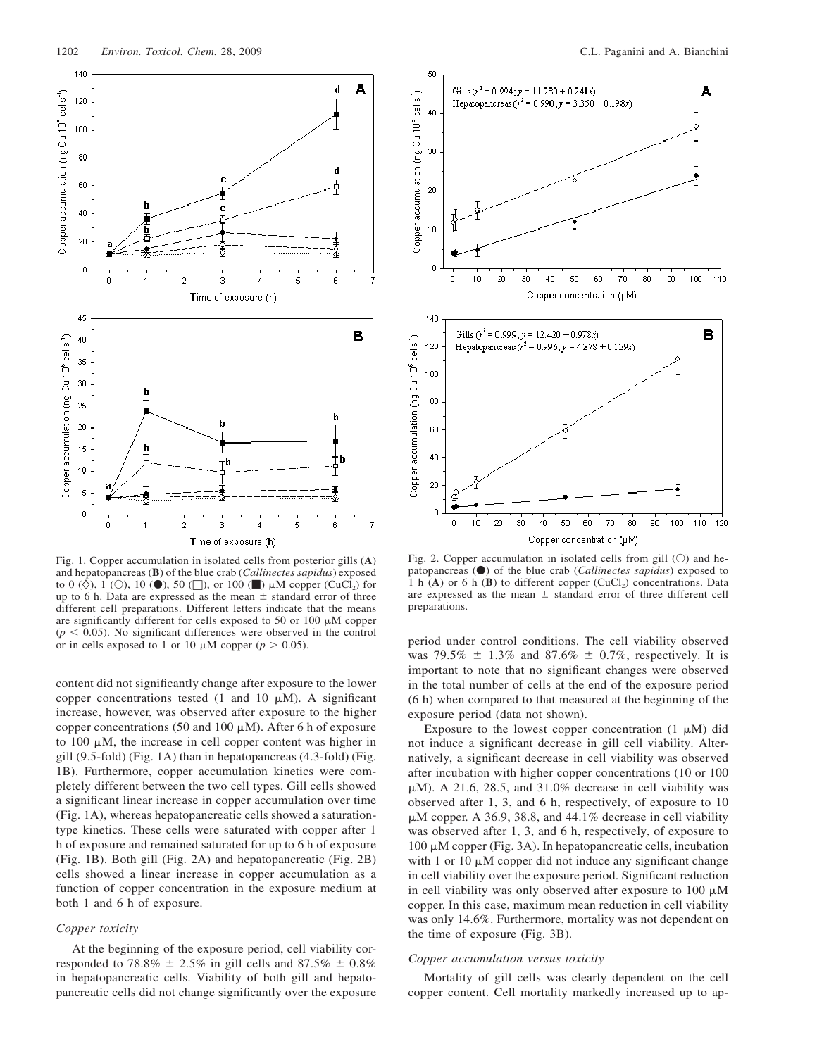

Fig. 1. Copper accumulation in isolated cells from posterior gills (**A**) and hepatopancreas (**B**) of the blue crab (*Callinectes sapidus*) exposed to 0 ( $\Diamond$ ), 1 ( $\Diamond$ ), 10 ( $\bullet$ ), 50 ( $\Box$ ), or 100 ( $\Box$ )  $\mu$ M copper (CuCl<sub>2</sub>) for up to 6 h. Data are expressed as the mean  $\pm$  standard error of three different cell preparations. Different letters indicate that the means are significantly different for cells exposed to 50 or 100  $\mu$ M copper  $(p < 0.05)$ . No significant differences were observed in the control or in cells exposed to 1 or 10  $\mu$ M copper ( $p > 0.05$ ).

content did not significantly change after exposure to the lower copper concentrations tested (1 and 10  $\mu$ M). A significant increase, however, was observed after exposure to the higher copper concentrations (50 and 100  $\mu$ M). After 6 h of exposure to 100  $\mu$ M, the increase in cell copper content was higher in gill (9.5-fold) (Fig. 1A) than in hepatopancreas (4.3-fold) (Fig. 1B). Furthermore, copper accumulation kinetics were completely different between the two cell types. Gill cells showed a significant linear increase in copper accumulation over time (Fig. 1A), whereas hepatopancreatic cells showed a saturationtype kinetics. These cells were saturated with copper after 1 h of exposure and remained saturated for up to 6 h of exposure (Fig. 1B). Both gill (Fig. 2A) and hepatopancreatic (Fig. 2B) cells showed a linear increase in copper accumulation as a function of copper concentration in the exposure medium at both 1 and 6 h of exposure.

## *Copper toxicity*

At the beginning of the exposure period, cell viability corresponded to 78.8%  $\pm$  2.5% in gill cells and 87.5%  $\pm$  0.8% in hepatopancreatic cells. Viability of both gill and hepatopancreatic cells did not change significantly over the exposure



Fig. 2. Copper accumulation in isolated cells from gill  $(O)$  and hepatopancreas ( $\bullet$ ) of the blue crab (*Callinectes sapidus*) exposed to 1 h  $(A)$  or 6 h  $(B)$  to different copper  $(CuCl<sub>2</sub>)$  concentrations. Data are expressed as the mean  $\pm$  standard error of three different cell preparations.

period under control conditions. The cell viability observed was 79.5%  $\pm$  1.3% and 87.6%  $\pm$  0.7%, respectively. It is important to note that no significant changes were observed in the total number of cells at the end of the exposure period (6 h) when compared to that measured at the beginning of the exposure period (data not shown).

Exposure to the lowest copper concentration  $(1 \mu M)$  did not induce a significant decrease in gill cell viability. Alternatively, a significant decrease in cell viability was observed after incubation with higher copper concentrations (10 or 100  $\mu$ M). A 21.6, 28.5, and 31.0% decrease in cell viability was observed after 1, 3, and 6 h, respectively, of exposure to 10  $\mu$ M copper. A 36.9, 38.8, and 44.1% decrease in cell viability was observed after 1, 3, and 6 h, respectively, of exposure to  $100 \mu$ M copper (Fig. 3A). In hepatopancreatic cells, incubation with 1 or 10  $\mu$ M copper did not induce any significant change in cell viability over the exposure period. Significant reduction in cell viability was only observed after exposure to  $100 \mu M$ copper. In this case, maximum mean reduction in cell viability was only 14.6%. Furthermore, mortality was not dependent on the time of exposure (Fig. 3B).

### *Copper accumulation versus toxicity*

Mortality of gill cells was clearly dependent on the cell copper content. Cell mortality markedly increased up to ap-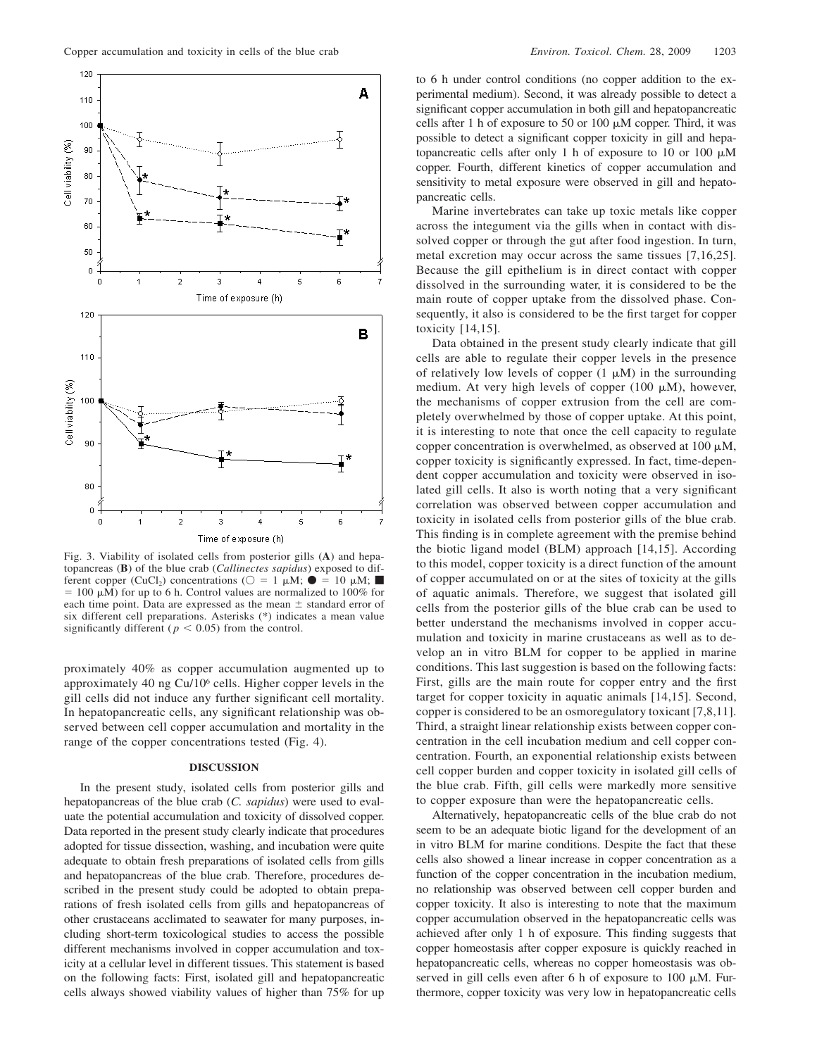

Fig. 3. Viability of isolated cells from posterior gills (**A**) and hepatopancreas (**B**) of the blue crab (*Callinectes sapidus*) exposed to different copper (CuCl<sub>2</sub>) concentrations ( $\bigcirc = 1 \mu M$ ;  $\bullet = 10 \mu M$ ;  $= 100 \mu M$ ) for up to 6 h. Control values are normalized to 100% for each time point. Data are expressed as the mean  $\pm$  standard error of six different cell preparations. Asterisks (\*) indicates a mean value significantly different ( $p < 0.05$ ) from the control.

proximately 40% as copper accumulation augmented up to approximately 40 ng Cu/106 cells. Higher copper levels in the gill cells did not induce any further significant cell mortality. In hepatopancreatic cells, any significant relationship was observed between cell copper accumulation and mortality in the range of the copper concentrations tested (Fig. 4).

### **DISCUSSION**

In the present study, isolated cells from posterior gills and hepatopancreas of the blue crab (*C. sapidus*) were used to evaluate the potential accumulation and toxicity of dissolved copper. Data reported in the present study clearly indicate that procedures adopted for tissue dissection, washing, and incubation were quite adequate to obtain fresh preparations of isolated cells from gills and hepatopancreas of the blue crab. Therefore, procedures described in the present study could be adopted to obtain preparations of fresh isolated cells from gills and hepatopancreas of other crustaceans acclimated to seawater for many purposes, including short-term toxicological studies to access the possible different mechanisms involved in copper accumulation and toxicity at a cellular level in different tissues. This statement is based on the following facts: First, isolated gill and hepatopancreatic cells always showed viability values of higher than 75% for up to 6 h under control conditions (no copper addition to the experimental medium). Second, it was already possible to detect a significant copper accumulation in both gill and hepatopancreatic cells after 1 h of exposure to 50 or 100  $\mu$ M copper. Third, it was possible to detect a significant copper toxicity in gill and hepatopancreatic cells after only 1 h of exposure to 10 or 100  $\mu$ M copper. Fourth, different kinetics of copper accumulation and sensitivity to metal exposure were observed in gill and hepatopancreatic cells.

Marine invertebrates can take up toxic metals like copper across the integument via the gills when in contact with dissolved copper or through the gut after food ingestion. In turn, metal excretion may occur across the same tissues [7,16,25]. Because the gill epithelium is in direct contact with copper dissolved in the surrounding water, it is considered to be the main route of copper uptake from the dissolved phase. Consequently, it also is considered to be the first target for copper toxicity [14,15].

Data obtained in the present study clearly indicate that gill cells are able to regulate their copper levels in the presence of relatively low levels of copper  $(1 \mu M)$  in the surrounding medium. At very high levels of copper (100  $\mu$ M), however, the mechanisms of copper extrusion from the cell are completely overwhelmed by those of copper uptake. At this point, it is interesting to note that once the cell capacity to regulate copper concentration is overwhelmed, as observed at 100  $\mu$ M, copper toxicity is significantly expressed. In fact, time-dependent copper accumulation and toxicity were observed in isolated gill cells. It also is worth noting that a very significant correlation was observed between copper accumulation and toxicity in isolated cells from posterior gills of the blue crab. This finding is in complete agreement with the premise behind the biotic ligand model (BLM) approach [14,15]. According to this model, copper toxicity is a direct function of the amount of copper accumulated on or at the sites of toxicity at the gills of aquatic animals. Therefore, we suggest that isolated gill cells from the posterior gills of the blue crab can be used to better understand the mechanisms involved in copper accumulation and toxicity in marine crustaceans as well as to develop an in vitro BLM for copper to be applied in marine conditions. This last suggestion is based on the following facts: First, gills are the main route for copper entry and the first target for copper toxicity in aquatic animals [14,15]. Second, copper is considered to be an osmoregulatory toxicant [7,8,11]. Third, a straight linear relationship exists between copper concentration in the cell incubation medium and cell copper concentration. Fourth, an exponential relationship exists between cell copper burden and copper toxicity in isolated gill cells of the blue crab. Fifth, gill cells were markedly more sensitive to copper exposure than were the hepatopancreatic cells.

Alternatively, hepatopancreatic cells of the blue crab do not seem to be an adequate biotic ligand for the development of an in vitro BLM for marine conditions. Despite the fact that these cells also showed a linear increase in copper concentration as a function of the copper concentration in the incubation medium, no relationship was observed between cell copper burden and copper toxicity. It also is interesting to note that the maximum copper accumulation observed in the hepatopancreatic cells was achieved after only 1 h of exposure. This finding suggests that copper homeostasis after copper exposure is quickly reached in hepatopancreatic cells, whereas no copper homeostasis was observed in gill cells even after 6 h of exposure to 100  $\mu$ M. Furthermore, copper toxicity was very low in hepatopancreatic cells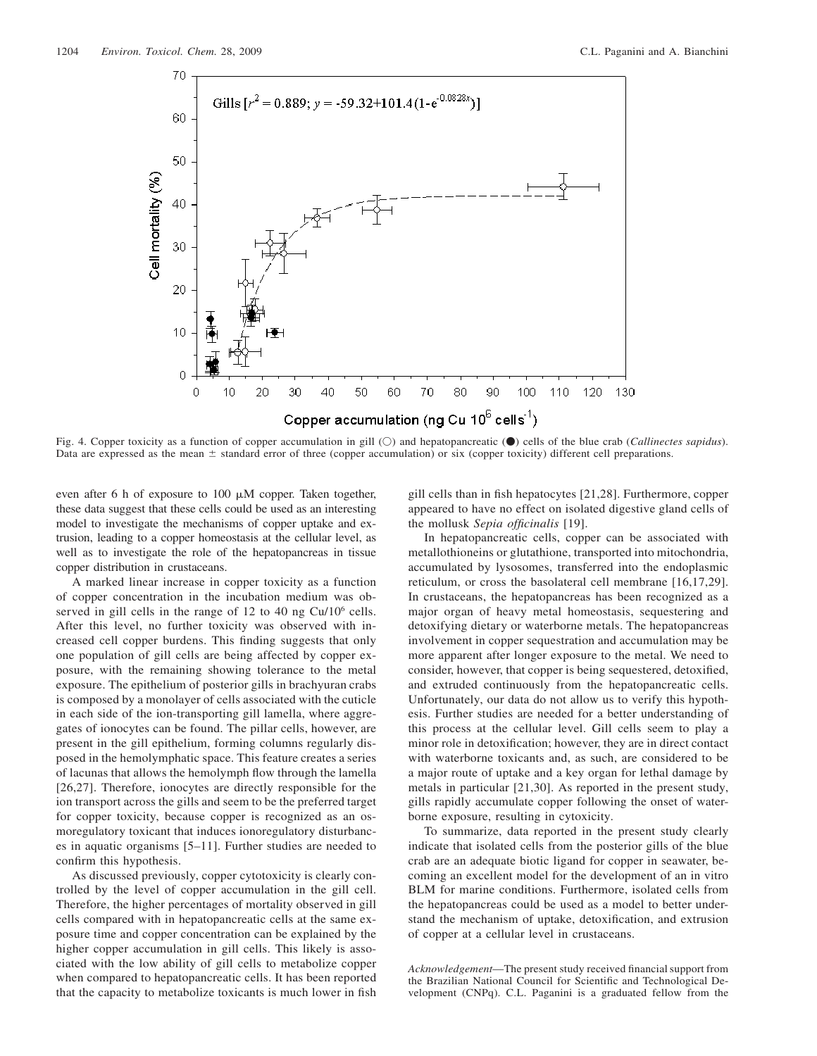

Fig. 4. Copper toxicity as a function of copper accumulation in gill (O) and hepatopancreatic ( $\bullet$ ) cells of the blue crab (*Callinectes sapidus*). Data are expressed as the mean  $\pm$  standard error of three (copper accumulation) or six (copper toxicity) different cell preparations.

even after 6 h of exposure to 100  $\mu$ M copper. Taken together, these data suggest that these cells could be used as an interesting model to investigate the mechanisms of copper uptake and extrusion, leading to a copper homeostasis at the cellular level, as well as to investigate the role of the hepatopancreas in tissue copper distribution in crustaceans.

A marked linear increase in copper toxicity as a function of copper concentration in the incubation medium was observed in gill cells in the range of 12 to 40 ng Cu/10<sup>6</sup> cells. After this level, no further toxicity was observed with increased cell copper burdens. This finding suggests that only one population of gill cells are being affected by copper exposure, with the remaining showing tolerance to the metal exposure. The epithelium of posterior gills in brachyuran crabs is composed by a monolayer of cells associated with the cuticle in each side of the ion-transporting gill lamella, where aggregates of ionocytes can be found. The pillar cells, however, are present in the gill epithelium, forming columns regularly disposed in the hemolymphatic space. This feature creates a series of lacunas that allows the hemolymph flow through the lamella [26,27]. Therefore, ionocytes are directly responsible for the ion transport across the gills and seem to be the preferred target for copper toxicity, because copper is recognized as an osmoregulatory toxicant that induces ionoregulatory disturbances in aquatic organisms [5–11]. Further studies are needed to confirm this hypothesis.

As discussed previously, copper cytotoxicity is clearly controlled by the level of copper accumulation in the gill cell. Therefore, the higher percentages of mortality observed in gill cells compared with in hepatopancreatic cells at the same exposure time and copper concentration can be explained by the higher copper accumulation in gill cells. This likely is associated with the low ability of gill cells to metabolize copper when compared to hepatopancreatic cells. It has been reported that the capacity to metabolize toxicants is much lower in fish gill cells than in fish hepatocytes [21,28]. Furthermore, copper appeared to have no effect on isolated digestive gland cells of the mollusk *Sepia officinalis* [19].

In hepatopancreatic cells, copper can be associated with metallothioneins or glutathione, transported into mitochondria, accumulated by lysosomes, transferred into the endoplasmic reticulum, or cross the basolateral cell membrane [16,17,29]. In crustaceans, the hepatopancreas has been recognized as a major organ of heavy metal homeostasis, sequestering and detoxifying dietary or waterborne metals. The hepatopancreas involvement in copper sequestration and accumulation may be more apparent after longer exposure to the metal. We need to consider, however, that copper is being sequestered, detoxified, and extruded continuously from the hepatopancreatic cells. Unfortunately, our data do not allow us to verify this hypothesis. Further studies are needed for a better understanding of this process at the cellular level. Gill cells seem to play a minor role in detoxification; however, they are in direct contact with waterborne toxicants and, as such, are considered to be a major route of uptake and a key organ for lethal damage by metals in particular [21,30]. As reported in the present study, gills rapidly accumulate copper following the onset of waterborne exposure, resulting in cytoxicity.

To summarize, data reported in the present study clearly indicate that isolated cells from the posterior gills of the blue crab are an adequate biotic ligand for copper in seawater, becoming an excellent model for the development of an in vitro BLM for marine conditions. Furthermore, isolated cells from the hepatopancreas could be used as a model to better understand the mechanism of uptake, detoxification, and extrusion of copper at a cellular level in crustaceans.

*Acknowledgement*—The present study received financial support from the Brazilian National Council for Scientific and Technological Development (CNPq). C.L. Paganini is a graduated fellow from the